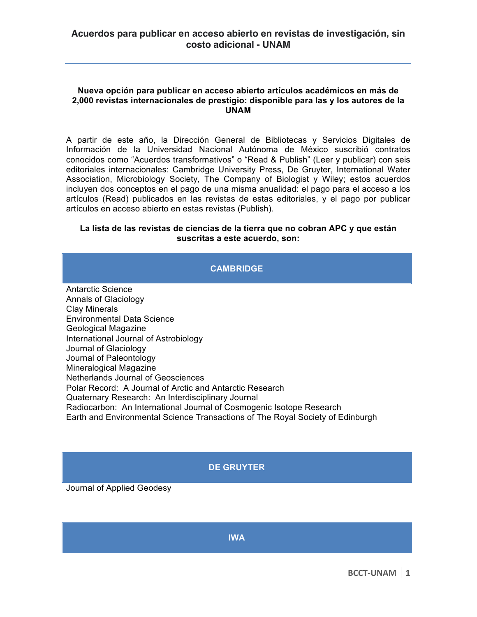## **Nueva opción para publicar en acceso abierto artículos académicos en más de 2,000 revistas internacionales de prestigio: disponible para las y los autores de la UNAM**

A partir de este año, la Dirección General de Bibliotecas y Servicios Digitales de Información de la Universidad Nacional Autónoma de México suscribió contratos conocidos como "Acuerdos transformativos" o "Read & Publish" (Leer y publicar) con seis editoriales internacionales: Cambridge University Press, De Gruyter, International Water Association, Microbiology Society, The Company of Biologist y Wiley; estos acuerdos incluyen dos conceptos en el pago de una misma anualidad: el pago para el acceso a los artículos (Read) publicados en las revistas de estas editoriales, y el pago por publicar artículos en acceso abierto en estas revistas (Publish).

## **La lista de las revistas de ciencias de la tierra que no cobran APC y que están suscritas a este acuerdo, son:**

## **CAMBRIDGE**

Antarctic Science Annals of Glaciology Clay Minerals Environmental Data Science Geological Magazine International Journal of Astrobiology Journal of Glaciology Journal of Paleontology Mineralogical Magazine Netherlands Journal of Geosciences Polar Record: A Journal of Arctic and Antarctic Research Quaternary Research: An Interdisciplinary Journal Radiocarbon: An International Journal of Cosmogenic Isotope Research Earth and Environmental Science Transactions of The Royal Society of Edinburgh

# **DE GRUYTER**

Journal of Applied Geodesy

**IWA**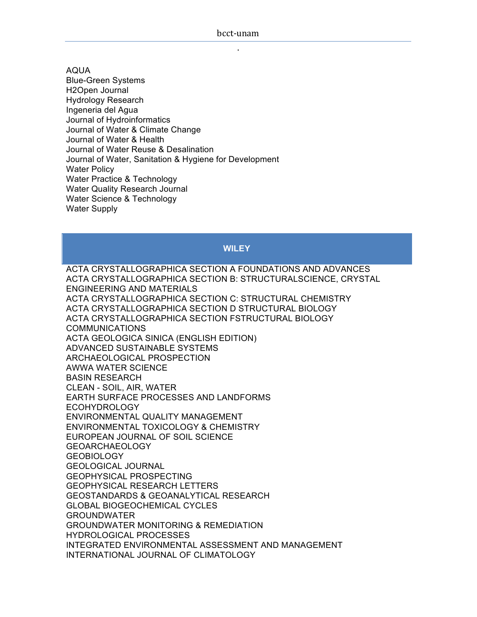AQUA Blue-Green Systems H2Open Journal Hydrology Research Ingeneria del Agua Journal of Hydroinformatics Journal of Water & Climate Change Journal of Water & Health Journal of Water Reuse & Desalination Journal of Water, Sanitation & Hygiene for Development Water Policy Water Practice & Technology Water Quality Research Journal Water Science & Technology Water Supply

## **WILEY**

ACTA CRYSTALLOGRAPHICA SECTION A FOUNDATIONS AND ADVANCES ACTA CRYSTALLOGRAPHICA SECTION B: STRUCTURALSCIENCE, CRYSTAL ENGINEERING AND MATERIALS ACTA CRYSTALLOGRAPHICA SECTION C: STRUCTURAL CHEMISTRY ACTA CRYSTALLOGRAPHICA SECTION D STRUCTURAL BIOLOGY ACTA CRYSTALLOGRAPHICA SECTION FSTRUCTURAL BIOLOGY COMMUNICATIONS ACTA GEOLOGICA SINICA (ENGLISH EDITION) ADVANCED SUSTAINABLE SYSTEMS ARCHAEOLOGICAL PROSPECTION AWWA WATER SCIENCE BASIN RESEARCH CLEAN - SOIL, AIR, WATER EARTH SURFACE PROCESSES AND LANDFORMS ECOHYDROLOGY ENVIRONMENTAL QUALITY MANAGEMENT ENVIRONMENTAL TOXICOLOGY & CHEMISTRY EUROPEAN JOURNAL OF SOIL SCIENCE GEOARCHAEOLOGY **GEOBIOLOGY** GEOLOGICAL JOURNAL GEOPHYSICAL PROSPECTING GEOPHYSICAL RESEARCH LETTERS GEOSTANDARDS & GEOANALYTICAL RESEARCH GLOBAL BIOGEOCHEMICAL CYCLES GROUNDWATER GROUNDWATER MONITORING & REMEDIATION HYDROLOGICAL PROCESSES INTEGRATED ENVIRONMENTAL ASSESSMENT AND MANAGEMENT INTERNATIONAL JOURNAL OF CLIMATOLOGY